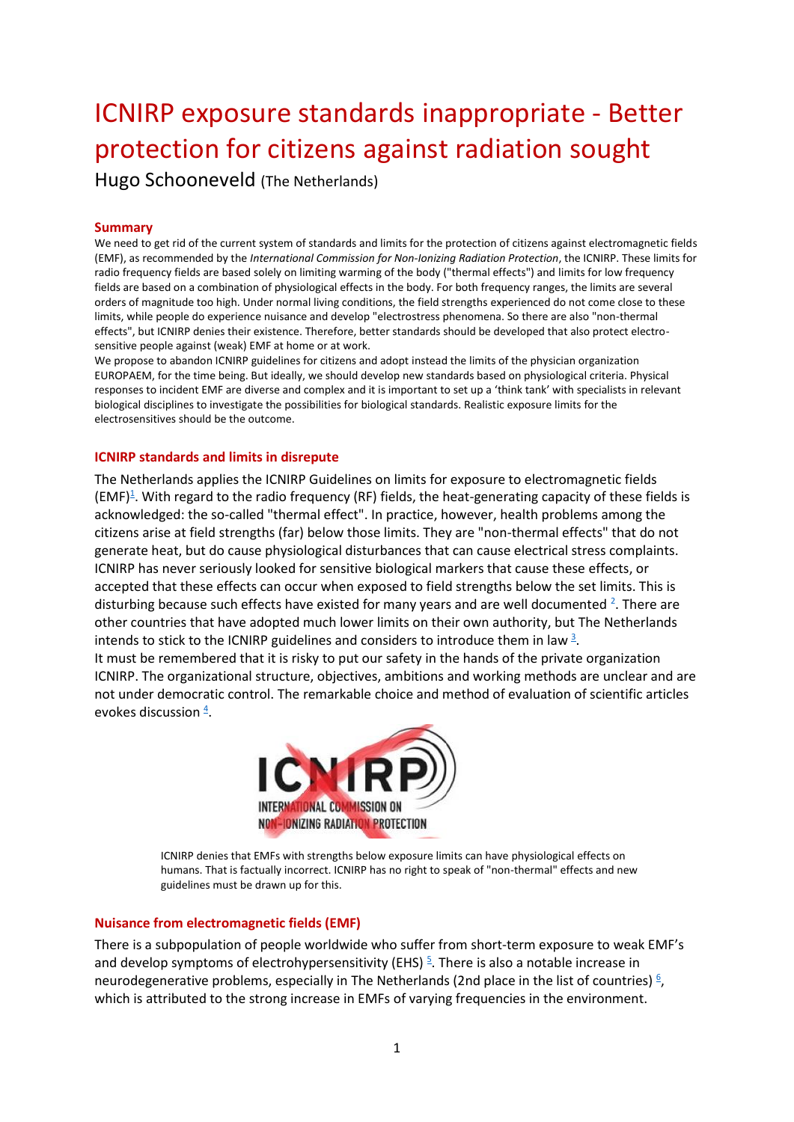# ICNIRP exposure standards inappropriate - Better protection for citizens against radiation sought

Hugo Schooneveld (The Netherlands)

# **Summary**

We need to get rid of the current system of standards and limits for the protection of citizens against electromagnetic fields (EMF), as recommended by the *International Commission for Non-Ionizing Radiation Protection*, the ICNIRP. These limits for radio frequency fields are based solely on limiting warming of the body ("thermal effects") and limits for low frequency fields are based on a combination of physiological effects in the body. For both frequency ranges, the limits are several orders of magnitude too high. Under normal living conditions, the field strengths experienced do not come close to these limits, while people do experience nuisance and develop "electrostress phenomena. So there are also "non-thermal effects", but ICNIRP denies their existence. Therefore, better standards should be developed that also protect electrosensitive people against (weak) EMF at home or at work.

We propose to abandon ICNIRP guidelines for citizens and adopt instead the limits of the physician organization EUROPAEM, for the time being. But ideally, we should develop new standards based on physiological criteria. Physical responses to incident EMF are diverse and complex and it is important to set up a 'think tank' with specialists in relevant biological disciplines to investigate the possibilities for biological standards. Realistic exposure limits for the electrosensitives should be the outcome.

# **ICNIRP standards and limits in disrepute**

The Netherlands applies the ICNIRP Guidelines on limits for exposure to electromagnetic fields  $(EMF)^{\underline{1}}$  $(EMF)^{\underline{1}}$  $(EMF)^{\underline{1}}$ . With regard to the radio frequency (RF) fields, the heat-generating capacity of these fields is acknowledged: the so-called "thermal effect". In practice, however, health problems among the citizens arise at field strengths (far) below those limits. They are "non-thermal effects" that do not generate heat, but do cause physiological disturbances that can cause electrical stress complaints. ICNIRP has never seriously looked for sensitive biological markers that cause these effects, or accepted that these effects can occur when exposed to field strengths below the set limits. This is disturbing because such effects have existed for many years and are well documented <sup>2</sup>[.](https://doi.org/10.1002/bem.22267) There are other countries that have adopted much lower limits on their own authority, but The Netherlands intends to stick to the ICNIRP guidelines and considers to introduce them in la[w](https://tinyurl.com/yagmsd4x)  $\frac{3}{2}$ . It must be remembered that it is risky to put our safety in the hands of the private organization ICNIRP. The organizational structure, objectives, ambitions and working methods are unclear and are

not under democratic control. The remarkable choice and method of evaluation of scientific articles evokes discussion  $\frac{4}{5}$  $\frac{4}{5}$  $\frac{4}{5}$ .



ICNIRP denies that EMFs with strengths below exposure limits can have physiological effects on humans. That is factually incorrect. ICNIRP has no right to speak of "non-thermal" effects and new guidelines must be drawn up for this.

# **Nuisance from electromagnetic fields (EMF)**

There is a subpopulation of people worldwide who suffer from short-term exposure to weak EMF's and develop symptoms of electrohypersensitivity (EHS)<sup>5</sup>[.](https://www.hugoschooneveld.nl/inhoud/elektrostress_handboek.php) There is also a notable increase in neurodegenerative problems[,](https://tinyurl.com/yb7umbyb) especially in The Netherlands (2nd place in the list of countries)  $\frac{6}{7}$ , which is attributed to the strong increase in EMFs of varying frequencies in the environment.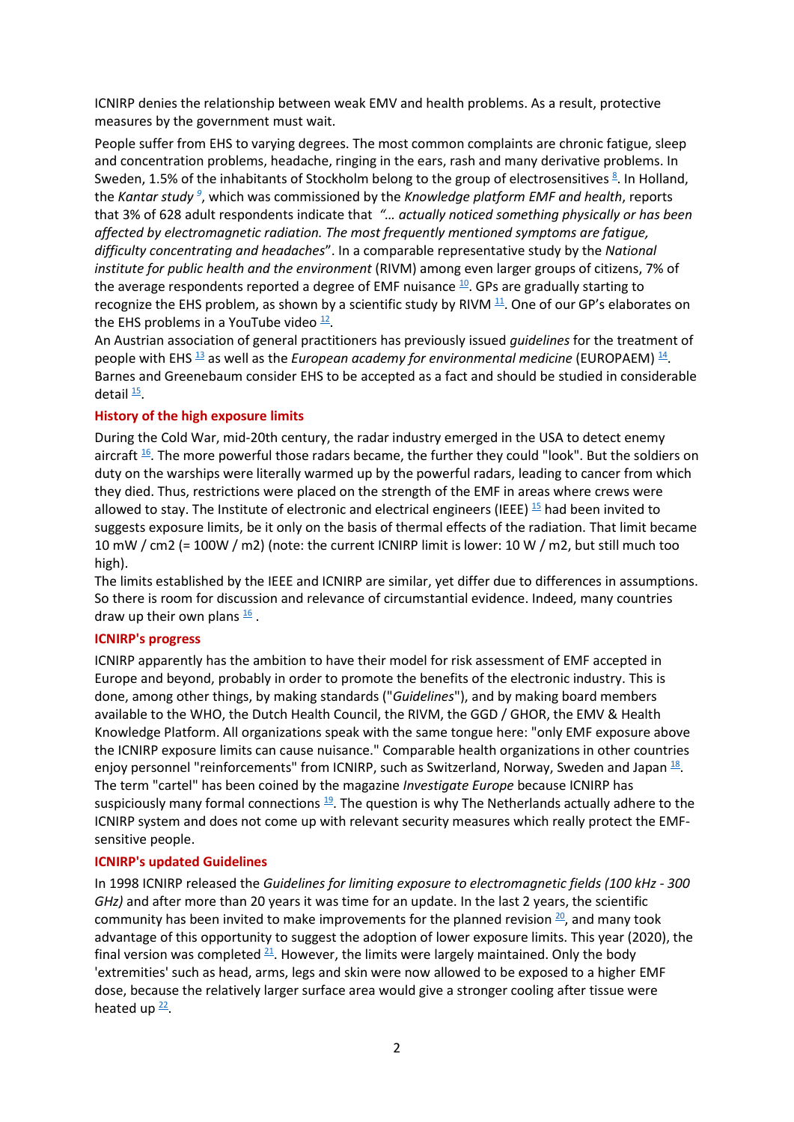ICNIRP denies the relationship between weak EMV and health problems. As a result, protective measures by the government must wait.

People suffer from EHS to varying degrees. The most common complaints are chronic fatigue, sleep and concentration problems, headache, ringing in the ears, rash and many derivative problems. In Sweden,1.5% of the inhabitants of Stockholm belong to the group of electrosensitives  $\frac{8}{3}$ . In Holland, the *Kantar stud[y](https://tinyurl.com/y7vrsja3) <sup>9</sup>* , which was commissioned by the *Knowledge platform EMF and health*, reports that 3% of 628 adult respondents indicate that *"… actually noticed something physically or has been affected by electromagnetic radiation. The most frequently mentioned symptoms are fatigue, difficulty concentrating and headaches*". In a comparable representative study by the *National institute for public health and the environment* (RIVM) among even larger groups of citizens, 7% of the average respondents reported a degree of EMF nuisance <sup>[10](https://journals.sagepub.com/doi/10.1177/1757913913492931)</sup>. GPs are gradually starting to recognize the EHS problem, as shown by a scientific study by RIVM  $^{11}$  $^{11}$  $^{11}$ . One of our GP's elaborates on the EHS problems in a YouTube video  $\frac{12}{1}$  $\frac{12}{1}$  $\frac{12}{1}$ .

An Austrian association of general practitioners has previously issued *guidelines* for the treatment of people with EHS <sup>[13](https://tinyurl.com/ya8e56vj)</sup> as well as the *European academy for environmental medicine* (EUROPAEM) <sup>[14](https://europaem.eu/en/academy)</sup>. Barnes and Greenebaum consider EHS to be accepted as a fact and should be studied in considerable detail <del>[15](https://pubmed.ncbi.nlm.nih.gov/32311139/)</del>.

# **History of the high exposure limits**

During the Cold War, mid-20th century, the radar industry emerged in the USA to detect enemy aircraft  $\frac{16}{2}$  $\frac{16}{2}$  $\frac{16}{2}$ . The more powerful those radars became, the further they could "look". But the soldiers on duty on the warships were literally warmed up by the powerful radars, leading to cancer from which they died. Thus, restrictions were placed on the strength of the EMF in areas where crews were allowed to stay. The Institute of electronic and electrical engineers (IEEE)  $15$  had been invited to suggests exposure limits, be it only on the basis of thermal effects of the radiation. That limit became 10 mW / cm2 (= 100W / m2) (note: the current ICNIRP limit is lower: 10 W / m2, but still much too high).

The limits established by the IEEE and ICNIRP are similar, yet differ due to differences in assumptions. So there is room for discussion and relevance of circumstantial evidence. Indeed, many countries draw up their own plans  $\frac{16}{5}$  $\frac{16}{5}$  $\frac{16}{5}$ .

## **ICNIRP's progress**

ICNIRP apparently has the ambition to have their model for risk assessment of EMF accepted in Europe and beyond, probably in order to promote the benefits of the electronic industry. This is done, among other things, by making standards ("*Guidelines*"), and by making board members available to the WHO, the Dutch Health Council, the RIVM, the GGD / GHOR, the EMV & Health Knowledge Platform. All organizations speak with the same tongue here: "only EMF exposure above the ICNIRP exposure limits can cause nuisance." Comparable health organizations in other countries enjoy personnel "reinforcements" from ICNIRP, such as Switzerland, Norway, Sweden and Japan  $^{\underline{18}}$  $^{\underline{18}}$  $^{\underline{18}}$ . The term "cartel" has been coined by the magazine *Investigate Europe* because ICNIRP has suspiciously many formal connections  $\frac{19}{2}$  $\frac{19}{2}$  $\frac{19}{2}$ . The question is why The Netherlands actually adhere to the ICNIRP system and does not come up with relevant security measures which really protect the EMFsensitive people.

#### **ICNIRP's updated Guidelines**

In 1998 ICNIRP released the *Guidelines for limiting exposure to electromagnetic fields (100 kHz - 300 GHz)* and after more than 20 years it was time for an update. In the last 2 years, the scientific community has been invited to make improvements for the planned revision  $\frac{20}{3}$  $\frac{20}{3}$  $\frac{20}{3}$ , and many took advantage of this opportunity to suggest the adoption of lower exposure limits. This year (2020), the final version was completed  $21$ . However, the limits were largely maintained. Only the body 'extremities' such as head, arms, legs and skin were now allowed to be exposed to a higher EMF dose, because the relatively larger surface area would give a stronger cooling after tissue were heated up  $\frac{22}{3}$  $\frac{22}{3}$  $\frac{22}{3}$ .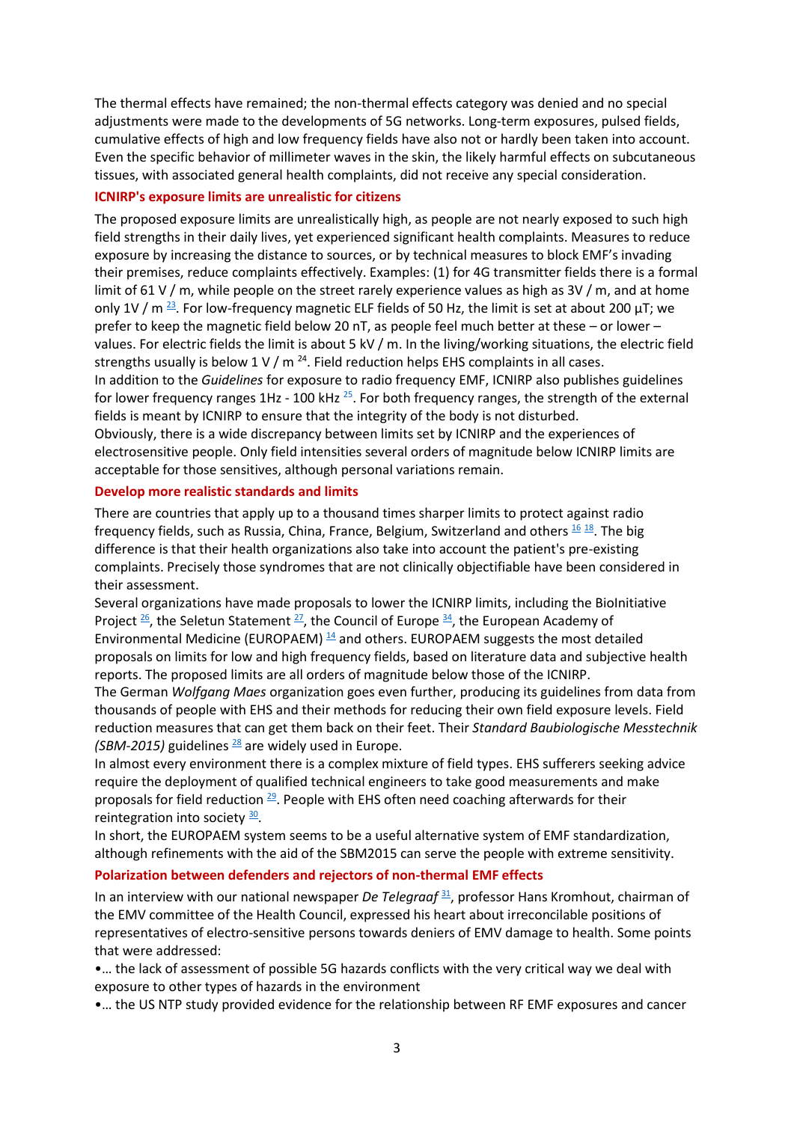The thermal effects have remained; the non-thermal effects category was denied and no special adjustments were made to the developments of 5G networks. Long-term exposures, pulsed fields, cumulative effects of high and low frequency fields have also not or hardly been taken into account. Even the specific behavior of millimeter waves in the skin, the likely harmful effects on subcutaneous tissues, with associated general health complaints, did not receive any special consideration.

## **ICNIRP's exposure limits are unrealistic for citizens**

The proposed exposure limits are unrealistically high, as people are not nearly exposed to such high field strengths in their daily lives, yet experienced significant health complaints. Measures to reduce exposure by increasing the distance to sources, or by technical measures to block EMF's invading their premises, reduce complaints effectively. Examples: (1) for 4G transmitter fields there is a formal limit of 61 V / m, while people on the street rarely experience values as high as 3V / m, and at home only 1V /  $m^{23}$  $m^{23}$  $m^{23}$ . For low-frequency magnetic ELF fields of 50 Hz, the limit is set at about 200  $\mu$ T; we prefer to keep the magnetic field below 20 nT, as people feel much better at these – or lower – values. For electric fields the limit is about 5 kV / m. In the living/working situations, the electric field strengths usually is below 1 V / m  $^{24}$ . Field reduction helps EHS complaints in all cases. In addition to the *Guidelines* for exposure to radio frequency EMF, ICNIRP also publishes guidelines for lower frequency ranges  $1\text{Hz}$  - 100 kHz  $^{25}$  $^{25}$  $^{25}$ . For both frequency ranges, the strength of the external fields is meant by ICNIRP to ensure that the integrity of the body is not disturbed. Obviously, there is a wide discrepancy between limits set by ICNIRP and the experiences of electrosensitive people. Only field intensities several orders of magnitude below ICNIRP limits are acceptable for those sensitives, although personal variations remain.

## **Develop more realistic standards and limits**

There are countries that apply up to a thousand times sharper limits to protect against radio frequency fields, such as Russia, China, France, Belgium, Switzerland and others  $^{\underline{16} \,\,\underline{18}}$  $^{\underline{16} \,\,\underline{18}}$  $^{\underline{16} \,\,\underline{18}}$  $^{\underline{16} \,\,\underline{18}}$  $^{\underline{16} \,\,\underline{18}}$ . The big difference is that their health organizations also take into account the patient's pre-existing complaints. Precisely those syndromes that are not clinically objectifiable have been considered in their assessment.

Several organizations have made proposals to lower the ICNIRP limits, including the BioInitiative Project  $\frac{26}{1}$  $\frac{26}{1}$  $\frac{26}{1}$ , the Seletun Statement  $\frac{27}{1}$  $\frac{27}{1}$  $\frac{27}{1}$ , the Council of Europe  $\frac{34}{1}$  $\frac{34}{1}$  $\frac{34}{1}$ , the European Academy of Environmental Medicine (EUROPAEM)  $\frac{14}{3}$  $\frac{14}{3}$  $\frac{14}{3}$  and others. EUROPAEM suggests the most detailed proposals on limits for low and high frequency fields, based on literature data and subjective health reports. The proposed limits are all orders of magnitude below those of the ICNIRP.

The German *Wolfgang Maes* organization goes even further, producing its guidelines from data from thousands of people with EHS and their methods for reducing their own field exposure levels. Field reduction measures that can get them back on their feet. Their *Standard Baubiologische Messtechnik (SBM-2015)* guidelines  $\frac{28}{3}$  $\frac{28}{3}$  $\frac{28}{3}$  are widely used in Europe.

In almost every environment there is a complex mixture of field types. EHS sufferers seeking advice require the deployment of qualified technical engineers to take good measurements and make proposals for field reduction  $^{29}$  $^{29}$  $^{29}$ . People with EHS often need coaching afterwards for their reintegration into society [30](https://schooneveldadvies.nl/).

In short, the EUROPAEM system seems to be a useful alternative system of EMF standardization, although refinements with the aid of the SBM2015 can serve the people with extreme sensitivity.

#### **Polarization between defenders and rejectors of non-thermal EMF effects**

In an interview with our national newspaper *De Telegraaf* [31](https://www.telegraaf.nl/lifestyle/882391636/wetenschap-verdeeld-over-straling-5-g), professor Hans Kromhout, chairman of the EMV committee of the Health Council, expressed his heart about irreconcilable positions of representatives of electro-sensitive persons towards deniers of EMV damage to health. Some points that were addressed:

•… the lack of assessment of possible 5G hazards conflicts with the very critical way we deal with exposure to other types of hazards in the environment

•… the US NTP study provided evidence for the relationship between RF EMF exposures and cancer